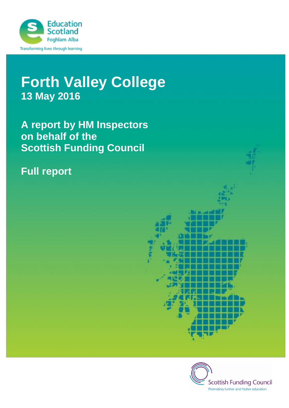

# **Forth Valley College 13 May 2016**

**A report by HM Inspectors on behalf of the Scottish Funding Council**

## **Full report**



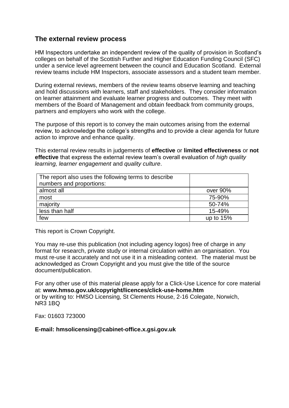## **The external review process**

HM Inspectors undertake an independent review of the quality of provision in Scotland's colleges on behalf of the Scottish Further and Higher Education Funding Council (SFC) under a service level agreement between the council and Education Scotland. External review teams include HM Inspectors, associate assessors and a student team member.

During external reviews, members of the review teams observe learning and teaching and hold discussions with learners, staff and stakeholders. They consider information on learner attainment and evaluate learner progress and outcomes. They meet with members of the Board of Management and obtain feedback from community groups, partners and employers who work with the college.

The purpose of this report is to convey the main outcomes arising from the external review, to acknowledge the college's strengths and to provide a clear agenda for future action to improve and enhance quality.

This external review results in judgements of **effective** or **limited effectiveness** or **not effective** that express the external review team's overall evaluation of *high quality learning, learner engagement* and *quality culture*.

| The report also uses the following terms to describe<br>numbers and proportions: |             |
|----------------------------------------------------------------------------------|-------------|
| almost all                                                                       | over 90%    |
| most                                                                             | 75-90%      |
| majority                                                                         | 50-74%      |
| less than half                                                                   | 15-49%      |
| few                                                                              | up to $15%$ |

This report is Crown Copyright.

You may re-use this publication (not including agency logos) free of charge in any format for research, private study or internal circulation within an organisation. You must re-use it accurately and not use it in a misleading context. The material must be acknowledged as Crown Copyright and you must give the title of the source document/publication.

For any other use of this material please apply for a Click-Use Licence for core material at: **www.hmso.gov.uk/copyright/licences/click-use-home.htm**  or by writing to: HMSO Licensing, St Clements House, 2-16 Colegate, Norwich, NR3 1BQ

Fax: 01603 723000

#### **E-mail: hmsolicensing@cabinet-office.x.gsi.gov.uk**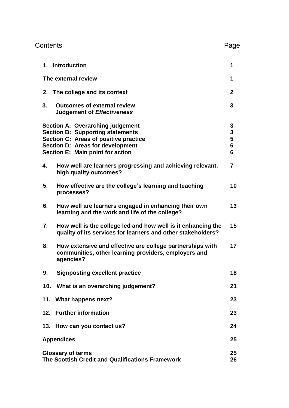| Contents                                                                                                                                                                                                   | Page                                                     |
|------------------------------------------------------------------------------------------------------------------------------------------------------------------------------------------------------------|----------------------------------------------------------|
| 1. Introduction                                                                                                                                                                                            | 1                                                        |
| The external review                                                                                                                                                                                        | 1                                                        |
| 2. The college and its context                                                                                                                                                                             | $\mathbf{2}$                                             |
| 3.<br><b>Outcomes of external review</b><br><b>Judgement of Effectiveness</b>                                                                                                                              | 3                                                        |
| <b>Section A: Overarching judgement</b><br><b>Section B: Supporting statements</b><br>Section C: Areas of positive practice<br>Section D: Areas for development<br><b>Section E: Main point for action</b> | 3<br>$\overline{\mathbf{3}}$<br>5<br>$6\phantom{1}$<br>6 |
| How well are learners progressing and achieving relevant,<br>4.<br>high quality outcomes?                                                                                                                  | $\overline{7}$                                           |
| 5.<br>How effective are the college's learning and teaching<br>processes?                                                                                                                                  | 10                                                       |
| 6.<br>How well are learners engaged in enhancing their own<br>learning and the work and life of the college?                                                                                               | 13                                                       |
| 7.<br>How well is the college led and how well is it enhancing the<br>quality of its services for learners and other stakeholders?                                                                         | 15                                                       |
| 8.<br>How extensive and effective are college partnerships with<br>communities, other learning providers, employers and<br>agencies?                                                                       | 17                                                       |
| 9.<br><b>Signposting excellent practice</b>                                                                                                                                                                | 18                                                       |
| 10. What is an overarching judgement?                                                                                                                                                                      | 21                                                       |
| 11. What happens next?                                                                                                                                                                                     | 23                                                       |
| 12. Further information                                                                                                                                                                                    | 23                                                       |
| 13. How can you contact us?                                                                                                                                                                                | 24                                                       |
| <b>Appendices</b>                                                                                                                                                                                          | 25                                                       |
| <b>Glossary of terms</b><br>The Scottish Credit and Qualifications Framework                                                                                                                               | 25<br>26                                                 |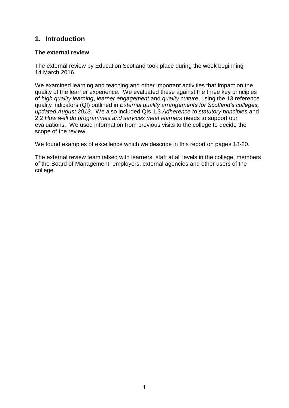## **1. Introduction**

#### **The external review**

The external review by Education Scotland took place during the week beginning 14 March 2016.

We examined learning and teaching and other important activities that impact on the quality of the learner experience. We evaluated these against the three key principles of *high quality learning*, *learner engagement* and *quality culture*, using the 13 reference quality indicators (QI) outlined in *External quality arrangements for Scotland's colleges, updated August 2013*. We also included QIs 1.3 *Adherence to statutory principles* and 2.2 *How well do programmes and services meet learners* needs to support our evaluations. We used information from previous visits to the college to decide the scope of the review.

We found examples of excellence which we describe in this report on pages 18-20.

The external review team talked with learners, staff at all levels in the college, members of the Board of Management, employers, external agencies and other users of the college.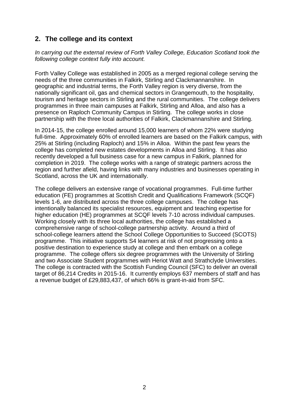## **2. The college and its context**

*In carrying out the external review of Forth Valley College, Education Scotland took the following college context fully into account.*

Forth Valley College was established in 2005 as a merged regional college serving the needs of the three communities in Falkirk, Stirling and Clackmannanshire. In geographic and industrial terms, the Forth Valley region is very diverse, from the nationally significant oil, gas and chemical sectors in Grangemouth, to the hospitality, tourism and heritage sectors in Stirling and the rural communities. The college delivers programmes in three main campuses at Falkirk, Stirling and Alloa, and also has a presence on Raploch Community Campus in Stirling. The college works in close partnership with the three local authorities of Falkirk, Clackmannanshire and Stirling.

In 2014-15, the college enrolled around 15,000 learners of whom 22% were studying full-time. Approximately 60% of enrolled learners are based on the Falkirk campus, with 25% at Stirling (including Raploch) and 15% in Alloa. Within the past few years the college has completed new estates developments in Alloa and Stirling. It has also recently developed a full business case for a new campus in Falkirk, planned for completion in 2019. The college works with a range of strategic partners across the region and further afield, having links with many industries and businesses operating in Scotland, across the UK and internationally.

The college delivers an extensive range of vocational programmes. Full-time further education (FE) programmes at Scottish Credit and Qualifications Framework (SCQF) levels 1-6, are distributed across the three college campuses. The college has intentionally balanced its specialist resources, equipment and teaching expertise for higher education (HE) programmes at SCQF levels 7-10 across individual campuses. Working closely with its three local authorities, the college has established a comprehensive range of school-college partnership activity. Around a third of school-college learners attend the School College Opportunities to Succeed (SCOTS) programme. This initiative supports S4 learners at risk of not progressing onto a positive destination to experience study at college and then embark on a college programme. The college offers six degree programmes with the University of Stirling and two Associate Student programmes with Heriot Watt and Strathclyde Universities. The college is contracted with the Scottish Funding Council (SFC) to deliver an overall target of 86,214 Credits in 2015-16. It currently employs 637 members of staff and has a revenue budget of £29,883,437, of which 66% is grant-in-aid from SFC.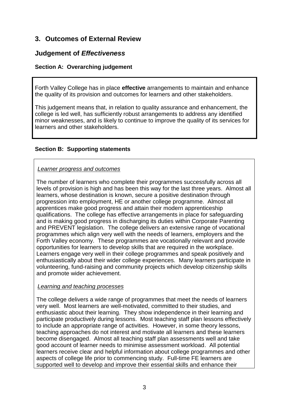## **3. Outcomes of External Review**

## **Judgement of** *Effectiveness*

#### **Section A: Overarching judgement**

Forth Valley College has in place **effective** arrangements to maintain and enhance the quality of its provision and outcomes for learners and other stakeholders.

This judgement means that, in relation to quality assurance and enhancement, the college is led well, has sufficiently robust arrangements to address any identified minor weaknesses, and is likely to continue to improve the quality of its services for learners and other stakeholders.

#### **Section B: Supporting statements**

#### *Learner progress and outcomes*

The number of learners who complete their programmes successfully across all levels of provision is high and has been this way for the last three years. Almost all learners, whose destination is known, secure a positive destination through progression into employment, HE or another college programme. Almost all apprentices make good progress and attain their modern apprenticeship qualifications. The college has effective arrangements in place for safeguarding and is making good progress in discharging its duties within Corporate Parenting and PREVENT legislation. The college delivers an extensive range of vocational programmes which align very well with the needs of learners, employers and the Forth Valley economy. These programmes are vocationally relevant and provide opportunities for learners to develop skills that are required in the workplace. Learners engage very well in their college programmes and speak positively and enthusiastically about their wider college experiences. Many learners participate in volunteering, fund-raising and community projects which develop citizenship skills and promote wider achievement.

#### *Learning and teaching processes*

The college delivers a wide range of programmes that meet the needs of learners very well. Most learners are well-motivated, committed to their studies, and enthusiastic about their learning. They show independence in their learning and participate productively during lessons. Most teaching staff plan lessons effectively to include an appropriate range of activities. However, in some theory lessons, teaching approaches do not interest and motivate all learners and these learners become disengaged. Almost all teaching staff plan assessments well and take good account of learner needs to minimise assessment workload. All potential learners receive clear and helpful information about college programmes and other aspects of college life prior to commencing study. Full-time FE learners are supported well to develop and improve their essential skills and enhance their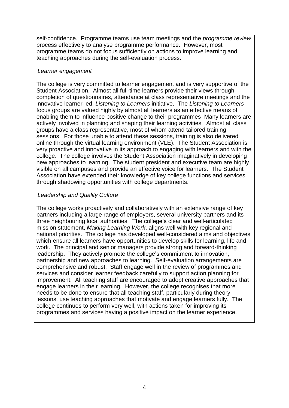self-confidence. Programme teams use team meetings and the *programme review* process effectively to analyse programme performance. However, most programme teams do not focus sufficiently on actions to improve learning and teaching approaches during the self-evaluation process.

#### *Learner engagement*

The college is very committed to learner engagement and is very supportive of the Student Association. Almost all full-time learners provide their views through completion of questionnaires, attendance at class representative meetings and the innovative learner-led, *Listening to Learners* initiative. The *Listening to Learners*  focus groups are valued highly by almost all learners as an effective means of enabling them to influence positive change to their programmes Many learners are actively involved in planning and shaping their learning activities. Almost all class groups have a class representative, most of whom attend tailored training sessions. For those unable to attend these sessions, training is also delivered online through the virtual learning environment (VLE). The Student Association is very proactive and innovative in its approach to engaging with learners and with the college. The college involves the Student Association imaginatively in developing new approaches to learning. The student president and executive team are highly visible on all campuses and provide an effective voice for learners. The Student Association have extended their knowledge of key college functions and services through shadowing opportunities with college departments.

#### *Leadership and Quality Culture*

The college works proactively and collaboratively with an extensive range of key partners including a large range of employers, several university partners and its three neighbouring local authorities. The college's clear and well-articulated mission statement, *Making Learning Work*, aligns well with key regional and national priorities. The college has developed well-considered aims and objectives which ensure all learners have opportunities to develop skills for learning, life and work. The principal and senior managers provide strong and forward-thinking leadership. They actively promote the college's commitment to innovation, partnership and new approaches to learning. Self-evaluation arrangements are comprehensive and robust. Staff engage well in the review of programmes and services and consider learner feedback carefully to support action planning for improvement. All teaching staff are encouraged to adopt creative approaches that engage learners in their learning. However, the college recognises that more needs to be done to ensure that all teaching staff, particularly during theory lessons, use teaching approaches that motivate and engage learners fully. The college continues to perform very well, with actions taken for improving its programmes and services having a positive impact on the learner experience.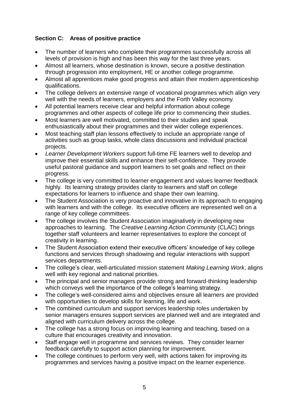## **Section C: Areas of positive practice**

- The number of learners who complete their programmes successfully across all levels of provision is high and has been this way for the last three years.
- Almost all learners, whose destination is known, secure a positive destination through progression into employment, HE or another college programme.
- Almost all apprentices make good progress and attain their modern apprenticeship qualifications.
- The college delivers an extensive range of vocational programmes which align very well with the needs of learners, employers and the Forth Valley economy.
- All potential learners receive clear and helpful information about college programmes and other aspects of college life prior to commencing their studies.
- Most learners are well motivated, committed to their studies and speak enthusiastically about their programmes and their wider college experiences.
- Most teaching staff plan lessons effectively to include an appropriate range of activities such as group tasks, whole class discussions and individual practical projects.
- *Learner Development Workers* support full-time FE learners well to develop and improve their essential skills and enhance their self-confidence. They provide useful pastoral guidance and support learners to set goals and reflect on their progress.
- The college is very committed to learner engagement and values learner feedback highly. Its learning strategy provides clarity to learners and staff on college expectations for learners to influence and shape their own learning.
- The Student Association is very proactive and innovative in its approach to engaging with learners and with the college. Its executive officers are represented well on a range of key college committees.
- The college involves the Student Association imaginatively in developing new approaches to learning. The *Creative Learning Action Community* (CLAC) brings together staff volunteers and learner representatives to explore the concept of creativity in learning.
- The Student Association extend their executive officers' knowledge of key college functions and services through shadowing and regular interactions with support services departments.
- The college's clear, well-articulated mission statement *Making Learning Work*, aligns well with key regional and national priorities.
- The principal and senior managers provide strong and forward-thinking leadership which conveys well the importance of the college's learning strategy.
- The college's well-considered aims and objectives ensure all learners are provided with opportunities to develop skills for learning, life and work.
- The combined curriculum and support services leadership roles undertaken by senior managers ensures support services are planned well and are integrated and aligned with curriculum delivery across the college.
- The college has a strong focus on improving learning and teaching, based on a culture that encourages creativity and innovation.
- Staff engage well in programme and services reviews. They consider learner feedback carefully to support action planning for improvement.
- The college continues to perform very well, with actions taken for improving its programmes and services having a positive impact on the learner experience.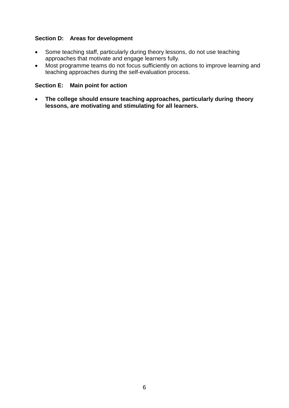#### **Section D: Areas for development**

- Some teaching staff, particularly during theory lessons, do not use teaching approaches that motivate and engage learners fully.
- Most programme teams do not focus sufficiently on actions to improve learning and teaching approaches during the self-evaluation process.

#### **Section E: Main point for action**

 **The college should ensure teaching approaches, particularly during theory lessons, are motivating and stimulating for all learners.**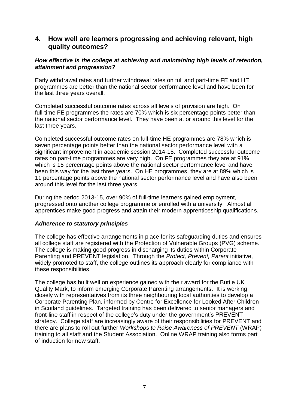## **4. How well are learners progressing and achieving relevant, high quality outcomes?**

#### *How effective is the college at achieving and maintaining high levels of retention, attainment and progression?*

Early withdrawal rates and further withdrawal rates on full and part-time FE and HE programmes are better than the national sector performance level and have been for the last three years overall.

Completed successful outcome rates across all levels of provision are high. On full-time FE programmes the rates are 70% which is six percentage points better than the national sector performance level. They have been at or around this level for the last three years.

Completed successful outcome rates on full-time HE programmes are 78% which is seven percentage points better than the national sector performance level with a significant improvement in academic session 2014-15. Completed successful outcome rates on part-time programmes are very high. On FE programmes they are at 91% which is 15 percentage points above the national sector performance level and have been this way for the last three years. On HE programmes, they are at 89% which is 11 percentage points above the national sector performance level and have also been around this level for the last three years.

During the period 2013-15, over 90% of full-time learners gained employment, progressed onto another college programme or enrolled with a university. Almost all apprentices make good progress and attain their modern apprenticeship qualifications.

#### *Adherence to statutory principles*

The college has effective arrangements in place for its safeguarding duties and ensures all college staff are registered with the Protection of Vulnerable Groups (PVG) scheme. The college is making good progress in discharging its duties within Corporate Parenting and PREVENT legislation. Through the *Protect, Prevent, Parent* initiative, widely promoted to staff, the college outlines its approach clearly for compliance with these responsibilities.

The college has built well on experience gained with their award for the Buttle UK Quality Mark, to inform emerging Corporate Parenting arrangements. It is working closely with representatives from its three neighbouring local authorities to develop a Corporate Parenting Plan, informed by Centre for Excellence for Looked After Children in Scotland guidelines. Targeted training has been delivered to senior managers and front-line staff in respect of the college's duty under the government's PREVENT strategy. College staff are increasingly aware of their responsibilities for PREVENT and there are plans to roll out further *Workshops to Raise Awareness of PREVENT* (WRAP) training to all staff and the Student Association. Online WRAP training also forms part of induction for new staff.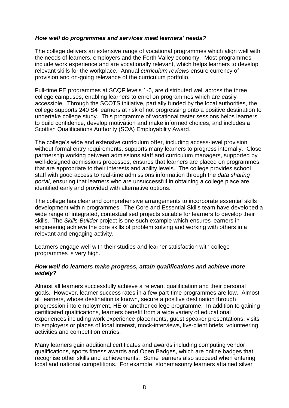#### *How well do programmes and services meet learners' needs?*

The college delivers an extensive range of vocational programmes which align well with the needs of learners, employers and the Forth Valley economy. Most programmes include work experience and are vocationally relevant, which helps learners to develop relevant skills for the workplace. Annual *curriculum reviews* ensure currency of provision and on-going relevance of the curriculum portfolio.

Full-time FE programmes at SCQF levels 1-6, are distributed well across the three college campuses, enabling learners to enrol on programmes which are easily accessible. Through the SCOTS initiative, partially funded by the local authorities, the college supports 240 S4 learners at risk of not progressing onto a positive destination to undertake college study. This programme of vocational taster sessions helps learners to build confidence, develop motivation and make informed choices, and includes a Scottish Qualifications Authority (SQA) Employability Award.

The college's wide and extensive curriculum offer, including access-level provision without formal entry requirements, supports many learners to progress internally. Close partnership working between admissions staff and curriculum managers, supported by well-designed admissions processes, ensures that learners are placed on programmes that are appropriate to their interests and ability levels. The college provides school staff with good access to real-time admissions information through the *data sharing portal*, ensuring that learners who are unsuccessful in obtaining a college place are identified early and provided with alternative options.

The college has clear and comprehensive arrangements to incorporate essential skills development within programmes. The Core and Essential Skills team have developed a wide range of integrated, contextualised projects suitable for learners to develop their skills. The *Skills-Builder* project is one such example which ensures learners in engineering achieve the core skills of problem solving and working with others in a relevant and engaging activity.

Learners engage well with their studies and learner satisfaction with college programmes is very high.

#### *How well do learners make progress, attain qualifications and achieve more widely?*

Almost all learners successfully achieve a relevant qualification and their personal goals. However, learner success rates in a few part-time programmes are low. Almost all learners, whose destination is known, secure a positive destination through progression into employment, HE or another college programme. In addition to gaining certificated qualifications, learners benefit from a wide variety of educational experiences including work experience placements, guest speaker presentations, visits to employers or places of local interest, mock-interviews, live-client briefs, volunteering activities and competition entries.

Many learners gain additional certificates and awards including computing vendor qualifications, sports fitness awards and Open Badges, which are online badges that recognise other skills and achievements. Some learners also succeed when entering local and national competitions. For example, stonemasonry learners attained silver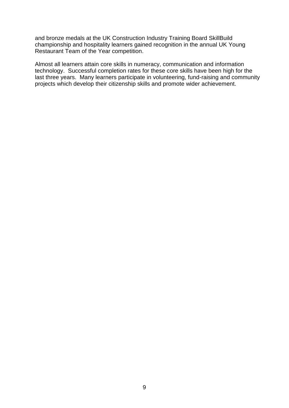and bronze medals at the UK Construction Industry Training Board SkillBuild championship and hospitality learners gained recognition in the annual UK Young Restaurant Team of the Year competition.

Almost all learners attain core skills in numeracy, communication and information technology. Successful completion rates for these core skills have been high for the last three years. Many learners participate in volunteering, fund-raising and community projects which develop their citizenship skills and promote wider achievement.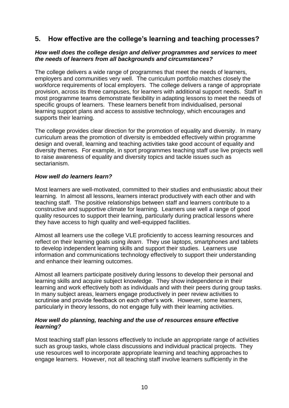## **5. How effective are the college's learning and teaching processes?**

#### *How well does the college design and deliver programmes and services to meet the needs of learners from all backgrounds and circumstances?*

The college delivers a wide range of programmes that meet the needs of learners, employers and communities very well. The curriculum portfolio matches closely the workforce requirements of local employers. The college delivers a range of appropriate provision, across its three campuses, for learners with additional support needs. Staff in most programme teams demonstrate flexibility in adapting lessons to meet the needs of specific groups of learners. These learners benefit from individualised, personal learning support plans and access to assistive technology, which encourages and supports their learning.

The college provides clear direction for the promotion of equality and diversity. In many curriculum areas the promotion of diversity is embedded effectively within programme design and overall, learning and teaching activities take good account of equality and diversity themes. For example, in sport programmes teaching staff use live projects well to raise awareness of equality and diversity topics and tackle issues such as sectarianism.

#### *How well do learners learn?*

Most learners are well-motivated, committed to their studies and enthusiastic about their learning. In almost all lessons, learners interact productively with each other and with teaching staff. The positive relationships between staff and learners contribute to a constructive and supportive climate for learning. Learners use well a range of good quality resources to support their learning, particularly during practical lessons where they have access to high quality and well-equipped facilities.

Almost all learners use the college VLE proficiently to access learning resources and reflect on their learning goals using *ilearn*. They use laptops, smartphones and tablets to develop independent learning skills and support their studies. Learners use information and communications technology effectively to support their understanding and enhance their learning outcomes.

Almost all learners participate positively during lessons to develop their personal and learning skills and acquire subject knowledge. They show independence in their learning and work effectively both as individuals and with their peers during group tasks. In many subject areas, learners engage productively in peer review activities to scrutinise and provide feedback on each other's work. However, some learners, particularly in theory lessons, do not engage fully with their learning activities.

#### *How well do planning, teaching and the use of resources ensure effective learning?*

Most teaching staff plan lessons effectively to include an appropriate range of activities such as group tasks, whole class discussions and individual practical projects. They use resources well to incorporate appropriate learning and teaching approaches to engage learners. However, not all teaching staff involve learners sufficiently in the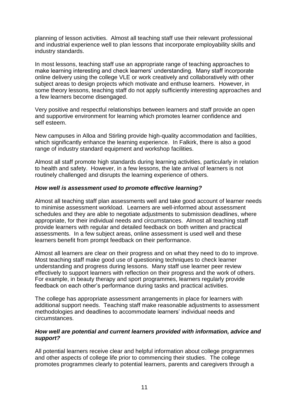planning of lesson activities. Almost all teaching staff use their relevant professional and industrial experience well to plan lessons that incorporate employability skills and industry standards.

In most lessons, teaching staff use an appropriate range of teaching approaches to make learning interesting and check learners' understanding. Many staff incorporate online delivery using the college VLE or work creatively and collaboratively with other subject areas to design projects which motivate and enthuse learners. However, in some theory lessons, teaching staff do not apply sufficiently interesting approaches and a few learners become disengaged.

Very positive and respectful relationships between learners and staff provide an open and supportive environment for learning which promotes learner confidence and self esteem.

New campuses in Alloa and Stirling provide high-quality accommodation and facilities, which significantly enhance the learning experience. In Falkirk, there is also a good range of industry standard equipment and workshop facilities.

Almost all staff promote high standards during learning activities, particularly in relation to health and safety. However, in a few lessons, the late arrival of learners is not routinely challenged and disrupts the learning experience of others.

#### *How well is assessment used to promote effective learning?*

Almost all teaching staff plan assessments well and take good account of learner needs to minimise assessment workload. Learners are well-informed about assessment schedules and they are able to negotiate adjustments to submission deadlines, where appropriate, for their individual needs and circumstances. Almost all teaching staff provide learners with regular and detailed feedback on both written and practical assessments. In a few subject areas, online assessment is used well and these learners benefit from prompt feedback on their performance.

Almost all learners are clear on their progress and on what they need to do to improve. Most teaching staff make good use of questioning techniques to check learner understanding and progress during lessons. Many staff use learner peer review effectively to support learners with reflection on their progress and the work of others. For example, in beauty therapy and sport programmes, learners regularly provide feedback on each other's performance during tasks and practical activities.

The college has appropriate assessment arrangements in place for learners with additional support needs. Teaching staff make reasonable adjustments to assessment methodologies and deadlines to accommodate learners' individual needs and circumstances.

#### *How well are potential and current learners provided with information, advice and support?*

All potential learners receive clear and helpful information about college programmes and other aspects of college life prior to commencing their studies. The college promotes programmes clearly to potential learners, parents and caregivers through a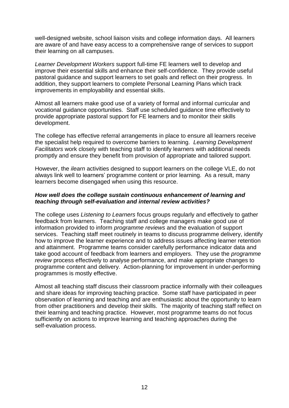well-designed website, school liaison visits and college information days. All learners are aware of and have easy access to a comprehensive range of services to support their learning on all campuses.

*Learner Development Workers* support full-time FE learners well to develop and improve their essential skills and enhance their self-confidence. They provide useful pastoral guidance and support learners to set goals and reflect on their progress. In addition, they support learners to complete Personal Learning Plans which track improvements in employability and essential skills.

Almost all learners make good use of a variety of formal and informal curricular and vocational guidance opportunities. Staff use scheduled guidance time effectively to provide appropriate pastoral support for FE learners and to monitor their skills development.

The college has effective referral arrangements in place to ensure all learners receive the specialist help required to overcome barriers to learning. *Learning Development Facilitators* work closely with teaching staff to identify learners with additional needs promptly and ensure they benefit from provision of appropriate and tailored support.

However, the *ilearn* activities designed to support learners on the college VLE, do not always link well to learners' programme content or prior learning. As a result, many learners become disengaged when using this resource.

#### *How well does the college sustain continuous enhancement of learning and teaching through self-evaluation and internal review activities?*

The college uses *Listening to Learners* focus groups regularly and effectively to gather feedback from learners. Teaching staff and college managers make good use of information provided to inform *programme reviews* and the evaluation of support services. Teaching staff meet routinely in teams to discuss programme delivery, identify how to improve the learner experience and to address issues affecting learner retention and attainment. Programme teams consider carefully performance indicator data and take good account of feedback from learners and employers. They use the *programme review* process effectively to analyse performance, and make appropriate changes to programme content and delivery. Action-planning for improvement in under-performing programmes is mostly effective.

Almost all teaching staff discuss their classroom practice informally with their colleagues and share ideas for improving teaching practice. Some staff have participated in peer observation of learning and teaching and are enthusiastic about the opportunity to learn from other practitioners and develop their skills. The majority of teaching staff reflect on their learning and teaching practice. However, most programme teams do not focus sufficiently on actions to improve learning and teaching approaches during the self-evaluation process.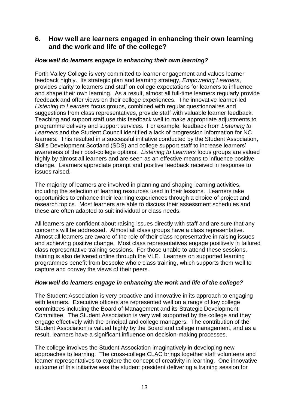## **6. How well are learners engaged in enhancing their own learning and the work and life of the college?**

#### *How well do learners engage in enhancing their own learning?*

Forth Valley College is very committed to learner engagement and values learner feedback highly. Its strategic plan and learning strategy, *Empowering Learners*, provides clarity to learners and staff on college expectations for learners to influence and shape their own learning. As a result, almost all full-time learners regularly provide feedback and offer views on their college experiences. The innovative learner-led *Listening to Learners* focus groups, combined with regular questionnaires and suggestions from class representatives, provide staff with valuable learner feedback. Teaching and support staff use this feedback well to make appropriate adjustments to programme delivery and support services. For example, feedback from *Listening to Learners* and the Student Council identified a lack of progression information for NC learners. This resulted in a successful initiative conducted by the Student Association, Skills Development Scotland (SDS) and college support staff to increase learners' awareness of their post-college options. *Listening to Learners* focus groups are valued highly by almost all learners and are seen as an effective means to influence positive change. Learners appreciate prompt and positive feedback received in response to issues raised.

The majority of learners are involved in planning and shaping learning activities, including the selection of learning resources used in their lessons. Learners take opportunities to enhance their learning experiences through a choice of project and research topics. Most learners are able to discuss their assessment schedules and these are often adapted to suit individual or class needs.

All learners are confident about raising issues directly with staff and are sure that any concerns will be addressed. Almost all class groups have a class representative. Almost all learners are aware of the role of their class representative in raising issues and achieving positive change. Most class representatives engage positively in tailored class representative training sessions. For those unable to attend these sessions, training is also delivered online through the VLE. Learners on supported learning programmes benefit from bespoke whole class training, which supports them well to capture and convey the views of their peers.

#### *How well do learners engage in enhancing the work and life of the college?*

The Student Association is very proactive and innovative in its approach to engaging with learners. Executive officers are represented well on a range of key college committees including the Board of Management and its Strategic Development Committee. The Student Association is very well supported by the college and they engage effectively with the principal and college managers. The contribution of the Student Association is valued highly by the Board and college management, and as a result, learners have a significant influence on decision-making processes.

The college involves the Student Association imaginatively in developing new approaches to learning. The cross-college CLAC brings together staff volunteers and learner representatives to explore the concept of creativity in learning. One innovative outcome of this initiative was the student president delivering a training session for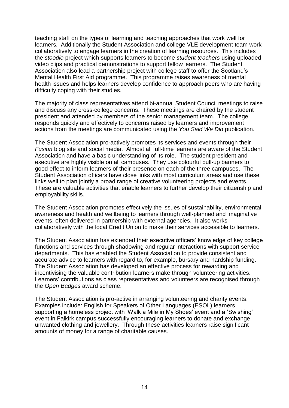teaching staff on the types of learning and teaching approaches that work well for learners. Additionally the Student Association and college VLE development team work collaboratively to engage learners in the creation of learning resources. This includes the *stoodle* project which supports learners to become *student teachers* using uploaded video clips and practical demonstrations to support fellow learners. The Student Association also lead a partnership project with college staff to offer the Scotland's Mental Health First Aid programme. This programme raises awareness of mental health issues and helps learners develop confidence to approach peers who are having difficulty coping with their studies.

The majority of class representatives attend bi-annual Student Council meetings to raise and discuss any cross-college concerns. These meetings are chaired by the student president and attended by members of the senior management team. The college responds quickly and effectively to concerns raised by learners and improvement actions from the meetings are communicated using the *You Said We Did* publication.

The Student Association pro-actively promotes its services and events through their *Fusion* blog site and social media. Almost all full-time learners are aware of the Student Association and have a basic understanding of its role. The student president and executive are highly visible on all campuses. They use colourful pull-up banners to good effect to inform learners of their presence on each of the three campuses.The Student Association officers have close links with most curriculum areas and use these links well to plan jointly a broad range of creative volunteering projects and events. These are valuable activities that enable learners to further develop their citizenship and employability skills.

The Student Association promotes effectively the issues of sustainability, environmental awareness and health and wellbeing to learners through well-planned and imaginative events, often delivered in partnership with external agencies. It also works collaboratively with the local Credit Union to make their services accessible to learners.

The Student Association has extended their executive officers' knowledge of key college functions and services through shadowing and regular interactions with support service departments. This has enabled the Student Association to provide consistent and accurate advice to learners with regard to, for example, bursary and hardship funding. The Student Association has developed an effective process for rewarding and incentivising the valuable contribution learners make through volunteering activities. Learners' contributions as class representatives and volunteers are recognised through the *Open Badges* award scheme.

The Student Association is pro-active in arranging volunteering and charity events. Examples include: English for Speakers of Other Languages (ESOL) learners supporting a homeless project with 'Walk a Mile in My Shoes' event and a 'Swishing' event in Falkirk campus successfully encouraging learners to donate and exchange unwanted clothing and jewellery. Through these activities learners raise significant amounts of money for a range of charitable causes.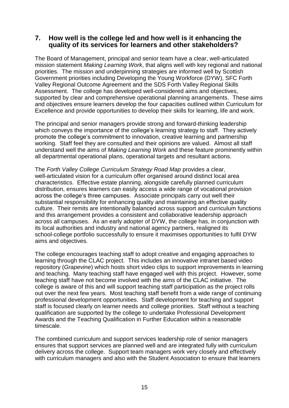#### **7. How well is the college led and how well is it enhancing the quality of its services for learners and other stakeholders?**

The Board of Management, principal and senior team have a clear, well-articulated mission statement *Making Learning Work*, that aligns well with key regional and national priorities. The mission and underpinning strategies are informed well by Scottish Government priorities including Developing the Young Workforce (DYW), SFC Forth Valley Regional Outcome Agreement and the SDS Forth Valley Regional Skills Assessment. The college has developed well-considered aims and objectives, supported by clear and comprehensive operational planning arrangements. These aims and objectives ensure learners develop the four capacities outlined within Curriculum for Excellence and provide opportunities to develop their skills for learning, life and work.

The principal and senior managers provide strong and forward-thinking leadership which conveys the importance of the college's learning strategy to staff. They actively promote the college's commitment to innovation, creative learning and partnership working. Staff feel they are consulted and their opinions are valued. Almost all staff understand well the aims of *Making Learning Work* and these feature prominently within all departmental operational plans, operational targets and resultant actions.

The *Forth Valley College Curriculum Strategy Road Map* provides a clear, well-articulated vision for a curriculum offer organised around distinct local area characteristics. Effective estate planning, alongside carefully planned curriculum distribution, ensures learners can easily access a wide range of vocational provision across the college's three campuses. Associate principals carry out well their substantial responsibility for enhancing quality and maintaining an effective quality culture. Their remits are intentionally balanced across support and curriculum functions and this arrangement provides a consistent and collaborative leadership approach across all campuses. As an early adopter of DYW, the college has, in conjunction with its local authorities and industry and national agency partners, realigned its school-college portfolio successfully to ensure it maximises opportunities to fulfil DYW aims and objectives.

The college encourages teaching staff to adopt creative and engaging approaches to learning through the CLAC project. This includes an innovative intranet based video repository (*Grapevine*) which hosts short video clips to support improvements in learning and teaching. Many teaching staff have engaged well with this project. However, some teaching staff have not become involved with the aims of the CLAC initiative. The college is aware of this and will support teaching staff participation as the project rolls out over the next few years. Most teaching staff benefit from a wide range of continuing professional development opportunities. Staff development for teaching and support staff is focused clearly on learner needs and college priorities. Staff without a teaching qualification are supported by the college to undertake Professional Development Awards and the Teaching Qualification in Further Education within a reasonable timescale.

The combined curriculum and support services leadership role of senior managers ensures that support services are planned well and are integrated fully with curriculum delivery across the college. Support team managers work very closely and effectively with curriculum managers and also with the Student Association to ensure that learners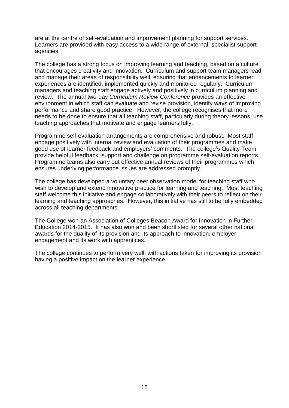are at the centre of self-evaluation and improvement planning for support services. Learners are provided with easy access to a wide range of external, specialist support agencies.

The college has a strong focus on improving learning and teaching, based on a culture that encourages creativity and innovation. Curriculum and support team managers lead and manage their areas of responsibility well, ensuring that enhancements to learner experiences are identified, implemented quickly and monitored regularly. Curriculum managers and teaching staff engage actively and positively in curriculum planning and review. The annual two-day *Curriculum Review Conference* provides an effective environment in which staff can evaluate and revise provision, identify ways of improving performance and share good practice. However, the college recognises that more needs to be done to ensure that all teaching staff, particularly during theory lessons, use teaching approaches that motivate and engage learners fully.

Programme self-evaluation arrangements are comprehensive and robust. Most staff engage positively with internal review and evaluation of their programmes and make good use of learner feedback and employers' comments. The college's Quality Team provide helpful feedback, support and challenge on programme self-evaluation reports. Programme teams also carry out effective annual reviews of their programmes which ensures underlying performance issues are addressed promptly.

The college has developed a voluntary peer observation model for teaching staff who wish to develop and extend innovative practice for learning and teaching. Most teaching staff welcome this initiative and engage collaboratively with their peers to reflect on their learning and teaching approaches. However, this initiative has still to be fully embedded across all teaching departments.

The College won an Association of Colleges Beacon Award for Innovation in Further Education 2014-2015. It has also won and been shortlisted for several other national awards for the quality of its provision and its approach to innovation, employer engagement and its work with apprentices.

The college continues to perform very well, with actions taken for improving its provision having a positive impact on the learner experience.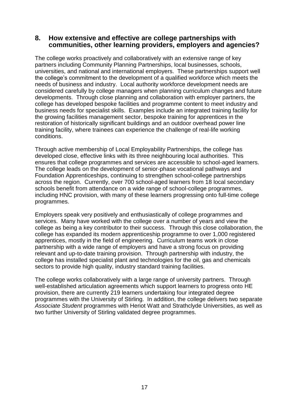#### **8. How extensive and effective are college partnerships with communities, other learning providers, employers and agencies?**

The college works proactively and collaboratively with an extensive range of key partners including Community Planning Partnerships, local businesses, schools, universities, and national and international employers. These partnerships support well the college's commitment to the development of a qualified workforce which meets the needs of business and industry. Local authority workforce development needs are considered carefully by college managers when planning curriculum changes and future developments. Through close planning and collaboration with employer partners, the college has developed bespoke facilities and programme content to meet industry and business needs for specialist skills. Examples include an integrated training facility for the growing facilities management sector, bespoke training for apprentices in the restoration of historically significant buildings and an outdoor overhead power line training facility, where trainees can experience the challenge of real-life working conditions.

Through active membership of Local Employability Partnerships, the college has developed close, effective links with its three neighbouring local authorities. This ensures that college programmes and services are accessible to school-aged learners. The college leads on the development of senior-phase vocational pathways and Foundation Apprenticeships, continuing to strengthen school-college partnerships across the region. Currently, over 700 school-aged learners from 18 local secondary schools benefit from attendance on a wide range of school-college programmes, including HNC provision, with many of these learners progressing onto full-time college programmes.

Employers speak very positively and enthusiastically of college programmes and services. Many have worked with the college over a number of years and view the college as being a key contributor to their success. Through this close collaboration, the college has expanded its modern apprenticeship programme to over 1,000 registered apprentices, mostly in the field of engineering. Curriculum teams work in close partnership with a wide range of employers and have a strong focus on providing relevant and up-to-date training provision. Through partnership with industry, the college has installed specialist plant and technologies for the oil, gas and chemicals sectors to provide high quality, industry standard training facilities.

The college works collaboratively with a large range of university partners. Through well-established articulation agreements which support learners to progress onto HE provision, there are currently 219 learners undertaking four integrated degree programmes with the University of Stirling. In addition, the college delivers two separate *Associate Student* programmes with Heriot Watt and Strathclyde Universities, as well as two further University of Stirling validated degree programmes.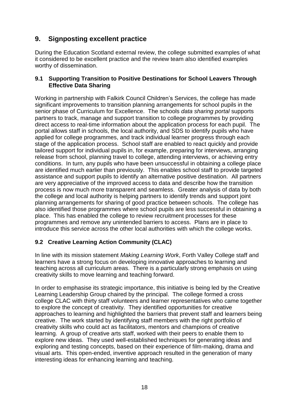## **9. Signposting excellent practice**

During the Education Scotland external review, the college submitted examples of what it considered to be excellent practice and the review team also identified examples worthy of dissemination.

#### **9.1 Supporting Transition to Positive Destinations for School Leavers Through Effective Data Sharing**

Working in partnership with Falkirk Council Children's Services, the college has made significant improvements to transition planning arrangements for school pupils in the senior phase of Curriculum for Excellence. The schools *data sharing portal* supports partners to track, manage and support transition to college programmes by providing direct access to real-time information about the application process for each pupil. The portal allows staff in schools, the local authority, and SDS to identify pupils who have applied for college programmes, and track individual learner progress through each stage of the application process. School staff are enabled to react quickly and provide tailored support for individual pupils in, for example, preparing for interviews, arranging release from school, planning travel to college, attending interviews, or achieving entry conditions. In turn, any pupils who have been unsuccessful in obtaining a college place are identified much earlier than previously. This enables school staff to provide targeted assistance and support pupils to identify an alternative positive destination. All partners are very appreciative of the improved access to data and describe how the transition process is now much more transparent and seamless. Greater analysis of data by both the college and local authority is helping partners to identify trends and support joint planning arrangements for sharing of good practice between schools. The college has also identified those programmes where school pupils are less successful in obtaining a place. This has enabled the college to review recruitment processes for these programmes and remove any unintended barriers to access. Plans are in place to introduce this service across the other local authorities with which the college works.

## **9.2 Creative Learning Action Community (CLAC)**

In line with its mission statement *Making Learning Work*, Forth Valley College staff and learners have a strong focus on developing innovative approaches to learning and teaching across all curriculum areas. There is a particularly strong emphasis on using creativity skills to move learning and teaching forward.

In order to emphasise its strategic importance, this initiative is being led by the Creative Learning Leadership Group chaired by the principal. The college formed a cross college CLAC with thirty staff volunteers and learner representatives who came together to explore the concept of creativity. They identified opportunities for creative approaches to learning and highlighted the barriers that prevent staff and learners being creative. The work started by identifying staff members with the right portfolio of creativity skills who could act as facilitators, mentors and champions of creative learning. A group of creative arts staff, worked with their peers to enable them to explore new ideas. They used well-established techniques for generating ideas and exploring and testing concepts, based on their experience of film-making, drama and visual arts. This open-ended, inventive approach resulted in the generation of many interesting ideas for enhancing learning and teaching.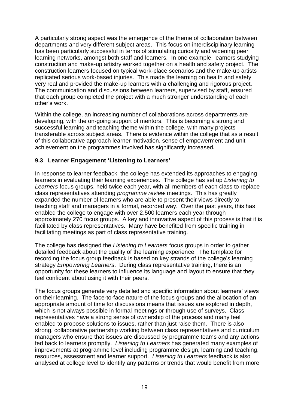A particularly strong aspect was the emergence of the theme of collaboration between departments and very different subject areas. This focus on interdisciplinary learning has been particularly successful in terms of stimulating curiosity and widening peer learning networks, amongst both staff and learners. In one example, learners studying construction and make-up artistry worked together on a health and safety project. The construction learners focused on typical work-place scenarios and the make-up artists replicated serious work-based injuries. This made the learning on health and safety very real and provided the make-up learners with a challenging and rigorous project. The communication and discussions between learners, supervised by staff, ensured that each group completed the project with a much stronger understanding of each other's work.

Within the college, an increasing number of collaborations across departments are developing, with the on-going support of mentors. This is becoming a strong and successful learning and teaching theme within the college, with many projects transferable across subject areas. There is evidence within the college that as a result of this collaborative approach learner motivation, sense of empowerment and unit achievement on the programmes involved has significantly increased**.** 

#### **9.3 Learner Engagement 'Listening to Learners'**

In response to learner feedback, the college has extended its approaches to engaging learners in evaluating their learning experiences. The college has set up *Listening to Learners* focus groups, held twice each year, with all members of each class to replace class representatives attending *programme review* meetings. This has greatly expanded the number of learners who are able to present their views directly to teaching staff and managers in a formal, recorded way. Over the past years, this has enabled the college to engage with over 2,500 learners each year through approximately 270 focus groups. A key and innovative aspect of this process is that it is facilitated by class representatives. Many have benefited from specific training in facilitating meetings as part of class representative training.

The college has designed the *Listening to Learners* focus groups in order to gather detailed feedback about the quality of the learning experience. The template for recording the focus group feedback is based on key strands of the college's learning strategy *Empowering Learners*. During class representative training, there is an opportunity for these learners to influence its language and layout to ensure that they feel confident about using it with their peers.

The focus groups generate very detailed and specific information about learners' views on their learning. The face-to-face nature of the focus groups and the allocation of an appropriate amount of time for discussions means that issues are explored in depth, which is not always possible in formal meetings or through use of surveys. Class representatives have a strong sense of ownership of the process and many feel enabled to propose solutions to issues, rather than just raise them. There is also strong, collaborative partnership working between class representatives and curriculum managers who ensure that issues are discussed by programme teams and any actions fed back to learners promptly. *Listening to Learners* has generated many examples of improvements at programme level including programme design, learning and teaching, resources, assessment and learner support. *Listening to Learners* feedback is also analysed at college level to identify any patterns or trends that would benefit from more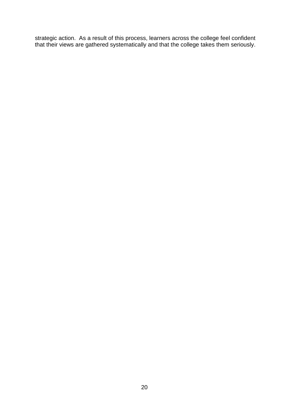strategic action. As a result of this process, learners across the college feel confident that their views are gathered systematically and that the college takes them seriously.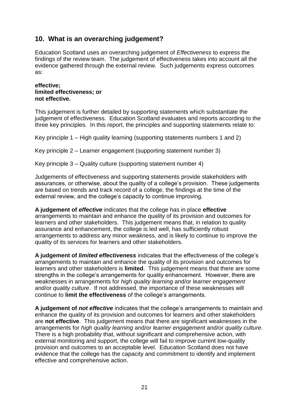## **10. What is an overarching judgement?**

Education Scotland uses an overarching judgement of *Effectiveness* to express the findings of the review team. The judgement of effectiveness takes into account all the evidence gathered through the external review. Such judgements express outcomes as:

#### **effective; limited effectiveness; or not effective.**

This judgement is further detailed by supporting statements which substantiate the judgement of effectiveness. Education Scotland evaluates and reports according to the three key principles. In this report, the principles and supporting statements relate to:

Key principle 1 – High quality learning (supporting statements numbers 1 and 2)

Key principle 2 – Learner engagement (supporting statement number 3)

Key principle 3 – Quality culture (supporting statement number 4)

Judgements of effectiveness and supporting statements provide stakeholders with assurances, or otherwise, about the quality of a college's provision. These judgements are based on trends and track record of a college, the findings at the time of the external review, and the college's capacity to continue improving.

**A judgement of** *effective* indicates that the college has in place **effective**  arrangements to maintain and enhance the quality of its provision and outcomes for learners and other stakeholders. This judgement means that, in relation to quality assurance and enhancement, the college is led well, has sufficiently robust arrangements to address any minor weakness, and is likely to continue to improve the quality of its services for learners and other stakeholders.

**A judgement of** *limited effectiveness* indicates that the effectiveness of the college's arrangements to maintain and enhance the quality of its provision and outcomes for learners and other stakeholders is **limited**. This judgement means that there are some strengths in the college's arrangements for quality enhancement. However, there are weaknesses in arrangements for *high quality learning* and/or le*arner engagement*  and/or *quality culture*. If not addressed, the importance of these weaknesses will continue to **limit the effectiveness** of the college's arrangements.

**A judgement of** *not effective* indicates that the college's arrangements to maintain and enhance the quality of its provision and outcomes for learners and other stakeholders are **not effective**. This judgement means that there are significant weaknesses in the arrangements for *high quality learning* and/or *l*e*arner engagement* and/or *quality culture*. There is a high probability that, without significant and comprehensive action, with external monitoring and support, the college will fail to improve current low-quality provision and outcomes to an acceptable level. Education Scotland does not have evidence that the college has the capacity and commitment to identify and implement effective and comprehensive action.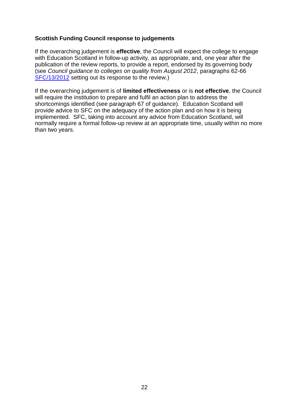#### **Scottish Funding Council response to judgements**

If the overarching judgement is **effective**, the Council will expect the college to engage with Education Scotland in follow-up activity, as appropriate, and, one year after the publication of the review reports, to provide a report, endorsed by its governing body (see *Council guidance to colleges on quality from August 2012*, paragraphs 62-66 [SFC/13/2012](http://www.sfc.ac.uk/newsinformation/Circulars/2012/SFC1312.aspx) setting out its response to the review.)

If the overarching judgement is of **limited effectiveness** or is **not effective**, the Council will require the institution to prepare and fulfil an action plan to address the shortcomings identified (see paragraph 67 of guidance). Education Scotland will provide advice to SFC on the adequacy of the action plan and on how it is being implemented. SFC, taking into account any advice from Education Scotland, will normally require a formal follow-up review at an appropriate time, usually within no more than two years.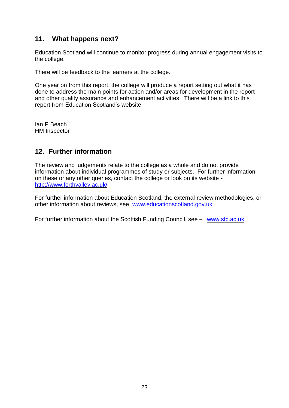## **11. What happens next?**

Education Scotland will continue to monitor progress during annual engagement visits to the college.

There will be feedback to the learners at the college.

One year on from this report, the college will produce a report setting out what it has done to address the main points for action and/or areas for development in the report and other quality assurance and enhancement activities. There will be a link to this report from Education Scotland's website.

Ian P Beach HM Inspector

## **12. Further information**

The review and judgements relate to the college as a whole and do not provide information about individual programmes of study or subjects. For further information on these or any other queries, contact the college or look on its website <http://www.forthvalley.ac.uk/>

For further information about Education Scotland, the external review methodologies, or other information about reviews, see [www.educationscotland.gov.uk](http://www.educationscotland.gov.uk/)

For further information about the Scottish Funding Council, see – [www.sfc.ac.uk](http://www.sfc.ac.uk/)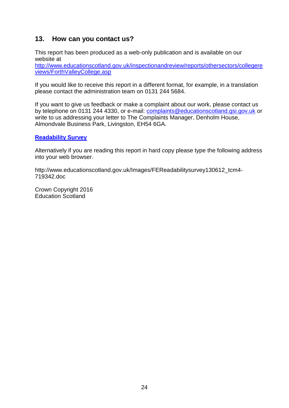## **13. How can you contact us?**

This report has been produced as a web-only publication and is available on our website at

[http://www.educationscotland.gov.uk/inspectionandreview/reports/othersectors/collegere](http://www.educationscotland.gov.uk/inspectionandreview/reports/othersectors/collegereviews/ForthValleyCollege.asp) [views/ForthValleyCollege.asp](http://www.educationscotland.gov.uk/inspectionandreview/reports/othersectors/collegereviews/ForthValleyCollege.asp)

If you would like to receive this report in a different format, for example, in a translation please contact the administration team on 0131 244 5684.

If you want to give us feedback or make a complaint about our work, please contact us by telephone on 0131 244 4330, or e-mail: [complaints@educationscotland.gsi.gov.uk](mailto:complaints@educationscotland.gsi.gov.uk) or write to us addressing your letter to The Complaints Manager, Denholm House, Almondvale Business Park, Livingston, EH54 6GA.

#### **[Readability Survey](http://www.educationscotland.gov.uk/Images/FEReadabilitysurvey130612_tcm4-719342.doc)**

Alternatively if you are reading this report in hard copy please type the following address into your web browser.

http://www.educationscotland.gov.uk/Images/FEReadabilitysurvey130612\_tcm4- 719342.doc

Crown Copyright 2016 Education Scotland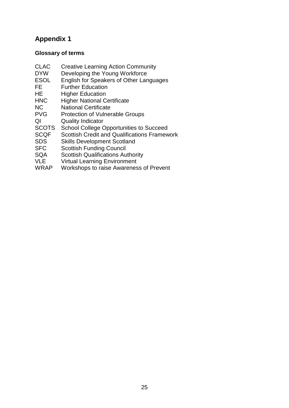## **Appendix 1**

## **Glossary of terms**

- CLAC Creative Learning Action Community<br>DYW Developing the Young Workforce
- DYW Developing the Young Workforce<br>ESOL English for Speakers of Other Lar
- ESOL English for Speakers of Other Languages<br>FE Further Education
- **Further Education**
- HE Higher Education<br>
HNC Higher National C
- Higher National Certificate
- NC National Certificate<br>PVG Protection of Vulner
- Protection of Vulnerable Groups
- QI Quality Indicator<br>SCOTS School College C
- School College Opportunities to Succeed
- SCQF Scottish Credit and Qualifications Framework
- SDS Skills Development Scotland<br>SFC Scottish Funding Council
- SFC Scottish Funding Council<br>SQA Scottish Qualifications Au
- SQA Scottish Qualifications Authority<br>VLE Virtual Learning Environment
- VLE Virtual Learning Environment<br>WRAP Workshops to raise Awarenes
- Workshops to raise Awareness of Prevent